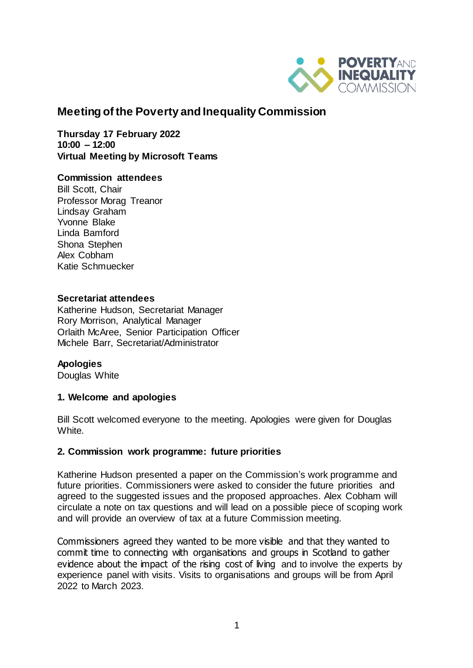

# **Meeting of the Poverty and Inequality Commission**

**Thursday 17 February 2022 10:00 – 12:00 Virtual Meeting by Microsoft Teams** 

#### **Commission attendees**

Bill Scott, Chair Professor Morag Treanor Lindsay Graham Yvonne Blake Linda Bamford Shona Stephen Alex Cobham Katie Schmuecker

#### **Secretariat attendees**

Katherine Hudson, Secretariat Manager Rory Morrison, Analytical Manager Orlaith McAree, Senior Participation Officer Michele Barr, Secretariat/Administrator

### **Apologies**

Douglas White

### **1. Welcome and apologies**

Bill Scott welcomed everyone to the meeting. Apologies were given for Douglas White.

#### **2. Commission work programme: future priorities**

Katherine Hudson presented a paper on the Commission's work programme and future priorities. Commissioners were asked to consider the future priorities and agreed to the suggested issues and the proposed approaches. Alex Cobham will circulate a note on tax questions and will lead on a possible piece of scoping work and will provide an overview of tax at a future Commission meeting.

Commissioners agreed they wanted to be more visible and that they wanted to commit time to connecting with organisations and groups in Scotland to gather evidence about the impact of the rising cost of living and to involve the experts by experience panel with visits. Visits to organisations and groups will be from April 2022 to March 2023.